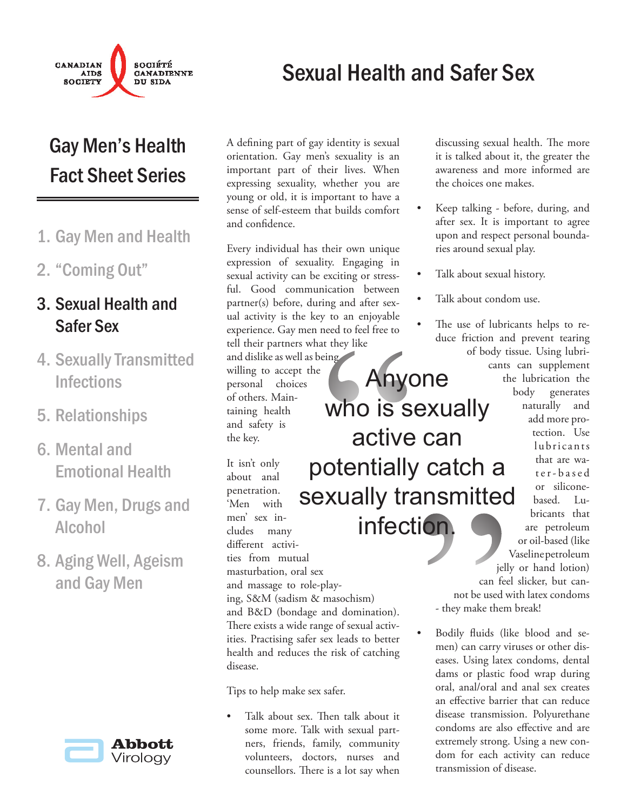

## Sexual Health and Safer Sex

Anyone

who is sexually

active can

## Gay Men's Health Fact Sheet Series

- 1. Gay Men and Health
- "Coming Out" 2.

### 3. Sexual Health and Safer Sex

- 4. Sexually Transmitted **Infections**
- 5. Relationships
- 6. Mental and Emotional Health
- 7. Gay Men, Drugs and Alcohol
- 8. Aging Well, Ageism and Gay Men



A defining part of gay identity is sexual orientation. Gay men's sexuality is an important part of their lives. When expressing sexuality, whether you are young or old, it is important to have a sense of self-esteem that builds comfort and confidence.

Every individual has their own unique expression of sexuality. Engaging in sexual activity can be exciting or stressful. Good communication between partner(s) before, during and after sexual activity is the key to an enjoyable experience. Gay men need to feel free to tell their partners what they like

and dislike as well as being willing to accept the personal choices of others. Maintaining health and safety is the key.

It isn't only about anal penetration. 'Men with men' sex includes many different activities from mutual masturbation, oral sex and massage to role-playing, S&M (sadism & masochism) and B&D (bondage and domination). There exists a wide range of sexual activities. Practising safer sex leads to better health and reduces the risk of catching disease. Who is s<br>
active<br>
day the day<br>
day<br>
who is s<br>
active<br>
dentially<br>
active<br>
infect potentially catch a sexually transmitted infection.

Tips to help make sex safer.

Talk about sex. Then talk about it some more. Talk with sexual partners, friends, family, community volunteers, doctors, nurses and counsellors. There is a lot say when •

discussing sexual health. The more it is talked about it, the greater the awareness and more informed are the choices one makes.

- Keep talking before, during, and after sex. It is important to agree upon and respect personal boundaries around sexual play. •
- Talk about sexual history. •
- Talk about condom use. •
- The use of lubricants helps to reduce friction and prevent tearing of body tissue. Using lubri-•

cants can supplement the lubrication the body generates naturally and add more protection. Use lubricants that are wat e r - b a s e d or siliconebased. Lubricants that are petroleum or oil-based (like Vaseline petroleum jelly or hand lotion)

can feel slicker, but cannot be used with latex condoms - they make them break!

Bodily fluids (like blood and semen) can carry viruses or other diseases. Using latex condoms, dental dams or plastic food wrap during oral, anal/oral and anal sex creates an effective barrier that can reduce disease transmission. Polyurethane condoms are also effective and are extremely strong. Using a new condom for each activity can reduce transmission of disease. **EXAMPLES**<br> **EXAMPLES**<br> **EXAMPLES**<br> **EXAMPLES**<br> **EXAMPLES**<br> **EXAMPLES**<br> **EXAMPLES**<br> **EXAMPLES**<br> **EXAMPLES**<br> **EXAMPLES**<br> **EXAMPLES**<br> **EXAMPLES**<br> **EXAMPLES**<br> **EXAMPLES**<br> **EXAMPLES**<br> **EXAMPLES**<br> **EXAMPLES**<br> **EXAMPLES**<br> **EXAMP**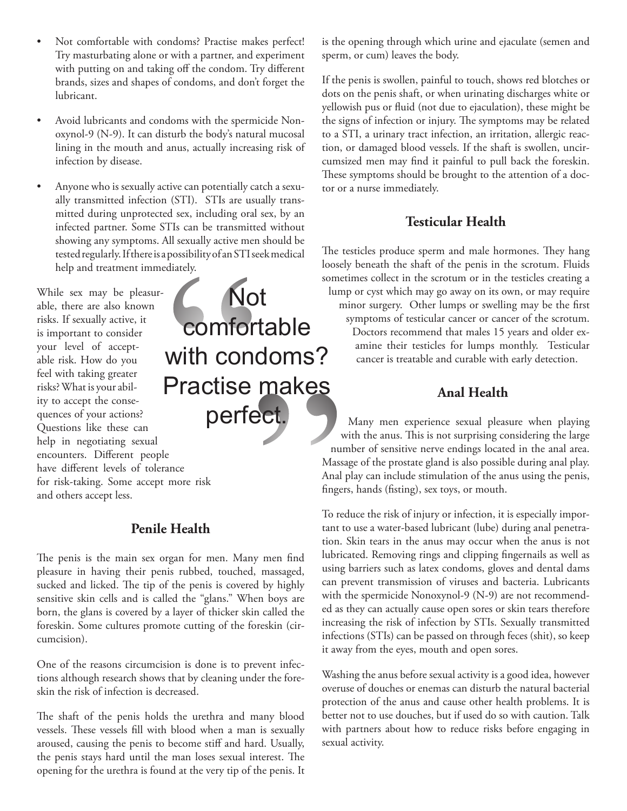- Not comfortable with condoms? Practise makes perfect! Try masturbating alone or with a partner, and experiment with putting on and taking off the condom. Try different brands, sizes and shapes of condoms, and don't forget the lubricant. •
- Avoid lubricants and condoms with the spermicide Nonoxynol-9 (N-9). It can disturb the body's natural mucosal lining in the mouth and anus, actually increasing risk of infection by disease. •
- Anyone who is sexually active can potentially catch a sexually transmitted infection (STI). STIs are usually transmitted during unprotected sex, including oral sex, by an infected partner. Some STIs can be transmitted without showing any symptoms. All sexually active men should be tested regularly. If there is a possibility of an STI seek medical help and treatment immediately. •

While sex may be pleasurable, there are also known risks. If sexually active, it is important to consider your level of acceptable risk. How do you feel with taking greater risks? What is your ability to accept the consequences of your actions? Questions like these can help in negotiating sexual encounters. Different people have different levels of tolerance for risk-taking. Some accept more risk and others accept less.

# makes<br>
act.<br>
Thu Mass<br>
Anal<br>
finge<br>
To re<br>
tant<br>
tion.<br>
we men find lubrist using<br>
lubrist using Mo<br>
Comfor<br>
with cone<br>
Practise<br>
perfe **Not** comfortable with condoms? Practise makes perfect.

#### **Penile Health**

The penis is the main sex organ for men. Many men find pleasure in having their penis rubbed, touched, massaged, sucked and licked. The tip of the penis is covered by highly sensitive skin cells and is called the "glans." When boys are born, the glans is covered by a layer of thicker skin called the foreskin. Some cultures promote cutting of the foreskin (circumcision).

One of the reasons circumcision is done is to prevent infections although research shows that by cleaning under the foreskin the risk of infection is decreased.

The shaft of the penis holds the urethra and many blood vessels. These vessels fill with blood when a man is sexually aroused, causing the penis to become stiff and hard. Usually, the penis stays hard until the man loses sexual interest. The opening for the urethra is found at the very tip of the penis. It is the opening through which urine and ejaculate (semen and sperm, or cum) leaves the body.

If the penis is swollen, painful to touch, shows red blotches or dots on the penis shaft, or when urinating discharges white or yellowish pus or fluid (not due to ejaculation), these might be the signs of infection or injury. The symptoms may be related to a STI, a urinary tract infection, an irritation, allergic reaction, or damaged blood vessels. If the shaft is swollen, uncircumsized men may find it painful to pull back the foreskin. These symptoms should be brought to the attention of a doctor or a nurse immediately.

### **Testicular Health**

The testicles produce sperm and male hormones. They hang loosely beneath the shaft of the penis in the scrotum. Fluids sometimes collect in the scrotum or in the testicles creating a lump or cyst which may go away on its own, or may require minor surgery. Other lumps or swelling may be the first symptoms of testicular cancer or cancer of the scrotum. Doctors recommend that males 15 years and older examine their testicles for lumps monthly. Testicular cancer is treatable and curable with early detection.

### **Anal Health**

Many men experience sexual pleasure when playing with the anus. This is not surprising considering the large number of sensitive nerve endings located in the anal area. Massage of the prostate gland is also possible during anal play. Anal play can include stimulation of the anus using the penis, fingers, hands (fisting), sex toys, or mouth.

To reduce the risk of injury or infection, it is especially important to use a water-based lubricant (lube) during anal penetration. Skin tears in the anus may occur when the anus is not lubricated. Removing rings and clipping fingernails as well as using barriers such as latex condoms, gloves and dental dams can prevent transmission of viruses and bacteria. Lubricants with the spermicide Nonoxynol-9 (N-9) are not recommended as they can actually cause open sores or skin tears therefore increasing the risk of infection by STIs. Sexually transmitted infections (STIs) can be passed on through feces (shit), so keep it away from the eyes, mouth and open sores.

Washing the anus before sexual activity is a good idea, however overuse of douches or enemas can disturb the natural bacterial protection of the anus and cause other health problems. It is better not to use douches, but if used do so with caution. Talk with partners about how to reduce risks before engaging in sexual activity.